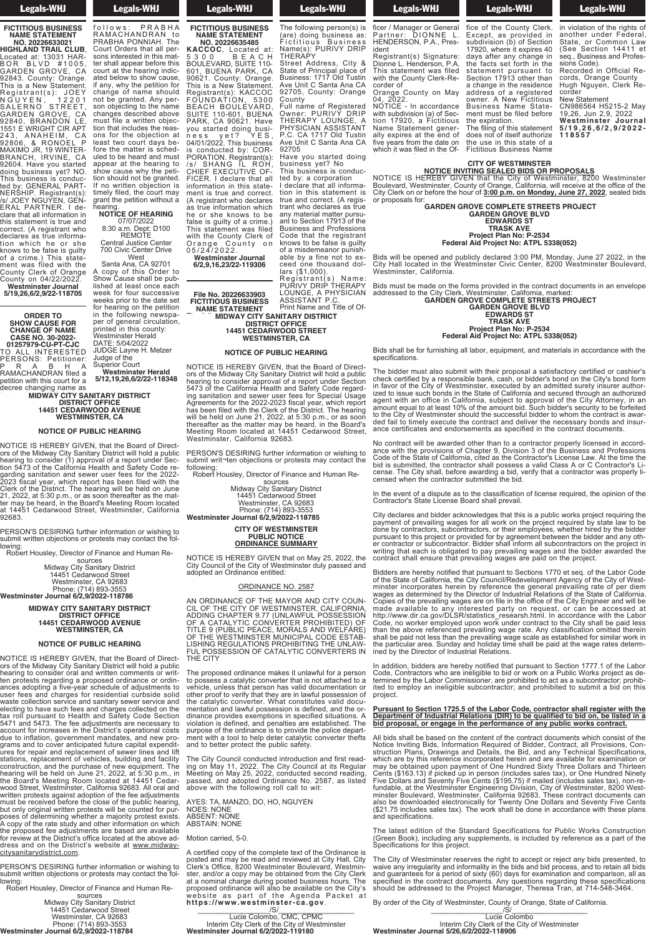# Legals-WHJ

**FICTITIOUS BUSINESS NAME STATEMENT**

**NO. 20226633021 HIGHLAND TRAIL CLUB**, Located at: 13031 HAR-B O R B L V D # 1005, GARDEN GROVE, CA 92843. County: Orange. This is a New Statement. Registrant(s): JOEY N G U Y E N , 1 2 2 0 1 SALERNO STREET, GARDEN GROVE, CA 92840, BRANDON LE, 1551 E WRIGHT CIR APT 243, ANAHEIM, CA 92806, & RONOEL P MAXIMO JR, 19 WINTER-BRANCH, IRVINE, CA 92604. Have you started doing business yet? NO. This business is conducted by: GENERAL PART-NERSHIP. Registrant(s): /s/ JOEY NGUYEN, GEN-ERAL PARTNER. I declare that all information in ETARE TANTIVENT THE<br>clare that all information in<br>this statement is true and correct. (A registrant who declares as true information which he or she knows to be false is guilty of a crime.) This statement was filed with the County Clerk of Orange

County on 04/22/2022. **Westminster Journal 5/19,26,6/2,9/22-118705**

**ORDER TO SHOW CAUSE FOR CHANGE OF NAME CASE NO. 30-2022- 01257979-CU-PT-CJC** TO ALL INTERESTED PERSONS: Petitioner: P R A B H A RAMACHANDRAN filed a petition with this court for a decree changing name as

**MIDWAY CITY SANITARY DISTRICT DISTRICT OFFICE 14451 CEDARWOOD AVENUE WESTMINSTER, CA MIDWAY CITY SA RANDRAN DISTRIC** 14451 CEDAR

#### **NOTICE OF PUBLIC HEARING NOTICE OF PI**

NOTICE IS HEREBY GIVEN, that the Board of Directors of the Midway City Sanitary District will hold a public hearing to consider (1) approval of a report under Section 5473 of the California Health and Safety Code regarding sanitation and sewer user fees for the 2022- 2023 fiscal year, which report has been filed with the Clerk of the District. The hearing will be held on June 21, 2022, at 5:30 p.m., or as soon thereafter as the matter may be heard, in the Board's Meeting Room located at 14451 Cedarwood Street, Westminster, California 92683. NOTICE IS HEREBY GIVE ors of the Midway City San hearing to consider (1) app tion 5473 of the California garding sanitation and se 2023 fiscal year, which re Clerk of the District. The I 21, 2022, at 5:30 p.m., or a ter may be heard, in the Bo at 14451 Cedarwood Stre  $92683.$ 

PERSON'S DESIRING further information or wishing to submit written objections or protests may contact the following: PERSON'S DESIRING furt submit written objections or tion showing: the contract of behavior of the showing:

Robert Housley, Director of Finance and Human Re-

sources Midway City Sanitary District 14451 Cedarwood Street Westminster, CA 92683 Phone: (714) 893-3553 **Westminster Journal 6/2,9/2022-118786** time the court may be court may be court may be court may be court may be court may be court may be court may be court may be court may be court may be court may be court may be court may be court may be court may be court Midway City: hear 14451 Ce<br>Westmin de Ph estminster Journal 6

**MIDWAY CITY SANITARY DISTRICT DISTRICT OFFICE 14451 CEDARWOOD AVENUE WESTMINSTER, CA** Remote the  $MIDWAY$  CITY 700 DISTE 144 Santa Ana, Canada and Canada and Canada and Canada and Canada and Canada and Canada and Canada and Canada and C

#### **NOTICE OF PUBLIC HEARING** A copy of this Order to **NOTICE OF PU**

NOTICE IS HEREBY GIVEN, that the Board of Directors of the Midway City Sanitary District will hold a public hearing to consider oral and written comments or written protests regarding a proposed ordinance or ordinances adopting a five-year schedule of adjustments to user fees and charges for residential curbside solid waste collection service and sanitary sewer service and electing to have such fees and charges collected on the tax roll pursuant to Health and Safety Code Section 5471 and 5473. The fee adjustments are necessary to account for increases in the District's operational costs due to inflation, government mandates, and new programs and to cover anticipated future capital expenditures for repair and replacement of sewer lines and lift stations, replacement of vehicles, building and facility construction, and the purchase of new equipment. The hearing will be held on June 21, 2022, at 5:30 p.m., in the Board's Meeting Room located at 14451 Cedarwood Street, Westminster, California 92683. All oral and written protests against adoption of the fee adjustments must be received before the close of the public hearing, but only original written protests will be counted for purposes of determining whether a majority protest exists. A copy of the rate study and other information on which the proposed fee adjustments are based are available for review at the District's office located at the above address and on the District's website at www.midwaycitysanitarydistrict.com. NOTICE IS HEREBY GIVEN, that the Board of Direct-NOTICE IS HEREBY GIVI ors of the Mildway City San hearing to consider oral a ten protests regarding a p ances adopting a five-year user rees and charge<br>waste collection servic<br>electing to have such f tax roll pursuant to Hel  $54/1$  and  $54$ account for ind e to inflation, goverr prams and to cover antici

PERSON'S DESIRING further information or wishing to submit written objections or protests may contact the fol-<br>lowing:

Robert Housley, Director of Finance and Human Resources

Midway City Sanitary District 14451 Cedarwood Street Westminster, CA 92683 Phone: (714) 893-3553 **Westminster Journal 6/2,9/2022-118784**

**Legals-WHJ**  $\frac{1}{2}$  between  $\frac{1}{2}$ 

PRABHA PONNIAH. The Court Orders that all persons interested in this matter shall appear before this court at the hearing indicated below to show cause, if any, why the petition for change of name should not be granted. Any person objecting to the name changes described above must file a written objection that includes the reasons for the objection at least two court days before the matter is scheduled to be heard and must appear at the hearing to show cause why the petition should not be granted. If no written objection is timely filed, the court may grant the petition without a hearing. **NOTICE OF HEARING** 07/07/2022 8:30 a.m. Dept: D100 REMOTE Central Justice Center 700 Civic Center Drive West Santa Ana, CA 92701

Show Cause shall be published at least once each

printed in this county: Westminster Herald DATE: 5/04/2022 JUDGE Layne H. Melzer

Superior Court **Westminster Herald 5/12,19,26,6/2/22-118348**

Judge of the

decree changing name as follows: PRABHA<br>RAMACHANDRAN to Legals-WHJ **FICTITIOUS BUSINESS**

**NAME STATEMENT NO. 20226635485 KACCOC**, Located at: 5 3 0 0 B E A C H BOULEVARD, SUITE 110- 601, BUENA PARK, CA 90621. County: Orange. This is a New Statement. Registrant(s): KACCOC

FOUNDATION, 5300 BEACH BOULEVARD, SUITE 110-601, BUENA PARK, CA 90621. Have you started doing business yet? YES, 04/01/2022. This business is conducted by: COR-PORATION. Registrant(s): /s/ SHANG IL ROH, CHIEF EXECUTIVE OF-FICER. I declare that all information in this statement is true and correct. (A registrant who declares as true information which he or she knows to be false is guilty of a crime.) This statement was filed with the County Clerk of Orange County on

A copy of this Order to 0 5 / 2 4 / 2 0 2 2 . **Westminster Journal 6/2,9,16,23/22-119306**

**MIDWAY CITY SANITARY DISTRICT** week for four successive weeks prior to the date set for hearing on the petition in the following newspaper of general circulation, **File No. 20226633903 FICTITIOUS BUSINESS NAME STATEMENT MIDWAY CITY SA** 

**DISTRICT OFFICE 14451 CEDARWOOD STREET WESTMINSTER, CA** (are) doing business assess as  $\overline{a}$ 14451 CEDAR **NAMEST MILL** n e recente recente de la partie de la partie de la partie de la partie de la partie de la partie de la partie<br>De la partie de la partie de la partie de la partie de la partie de la partie de la partie de la partie de la OOD STREET s<br>TER  $R = \frac{1}{2}$ 

### **NOTICE OF PUBLIC HEARING**

NOTICE IS HEREBY GIVEN, that the Board of Directors of the Midway City Sanitary District will hold a public hearing to consider approval of a report under Section 5473 of the California Health and Safety Code regarding sanitation and sewer user fees for Special Usage Agreements for the 2022-2023 fiscal year, which report has been filed with the Clerk of the District. The hearing will be held on June 21, 2022, at 5:30 p.m., or as soon thereafter as the matter may be heard, in the Board's Meeting Room located at 14451 Cedarwood Street, Westminster, California 92683. NOTICE IS HEREBY GIVI ors of the Midway City San hearing to consider approv 5473 of ing sanitation and sewer Agreements for the 2022-2 has been filed with the Cle will be held on June 21, 20 thereafter as the matter m Meeting Room located a Westn I that the Board of Directrv District of a report under Section n and Safet . and early educatorized.<br>er fees for Special Usage of the subdivision of Sec-<br>23 fiscal vear which report to noon your, million report<br>of the District The hearing of the District fine freeming<br>2. at 5:30 p.m., or as soon  $\alpha$  be heard in the Board's five models in the Decire of which it was filed in the Of-

PERSON'S DESIRING further information or wishing to submit writ¬ten objections or protests may contact the following: PERSON'S DESIRING further information or wishing to following:  $17920$  maps  $100$ 

Robert Housley, Director of Finance and Human Re-Robert Housley, Director Finance and Human Rethe facts set forther in the facts of the facts of the facts of the facts of the facts of the facts of the facts of the facts of the facts of the facts of the facts of the facts of the facts of the facts of the facts of th

sources Midway City Sanitary District 14451 Cedarwood Street Westminster, CA 92683 Phone: (714) 893-3553 **Westminster Journal 6/2,9/2022-118785** Business and Professions owner. A New Fictitious tion in this state state state state state  $\sim$ true and correct and correct the set of the correct of the correct of the correct of the correct of the correct of the correct of the correct of the correct of the correct of the correct of the correct of the correct of th  $t$ 14451 Ceda **And Meetminst** ant to Phone: (71 nitary District neary Browner<br>vood Street  $CA$  92683  $893 - 3553$ 

#### **COMMING COMPANY OF WESTMINSTER PUBLIC NOTICE ORDINANCE SUMMARY** knows to be false is guide in the false is guidelines. It is a set of the false is guidelines in the false is g<br>The false is guidelines in the false in the false is guidelines. It is also that the false is guidelines in th of a mission public and punished a mission of the set of the set of the set of the set of the set of the set o **ORDINANC**  $\mathsf{FMMSTER}$ **NOTICE** SUMMARY

NOTICE IS HEREBY GIVEN that on May 25, 2022, the City Council of the City of Westminster duly passed and adopted an Ordinance entitled:  $C$  $\frac{1}{2}$  iverse its HE  $C$  ity  $C$  ouncil of the  $C$  ity of  $V$ adopted an Ordinance enti that on May 25, 2022, the<br>estminster duly passed and<br>d:

#### ORDINANCE NO. 2587 ASSISTENT PROPERTY OF  $ENO. 2587$

AN ORDINANCE OF THE MAYOR AND CITY COUN-CIL OF THE CITY OF WESTMINSTER, CALIFORNIA, ADDING CHAPTER 9.77 (UNLAWFUL POSSESSION OF A CATALYTIC CONVERTER PROHIBITED) OF TITLE 9 (PUBLIC PEACE, MORALS AND WELFARE) OF THE WESTMINSTER MUNICIPAL CODE ESTAB-LISHING REGULATIONS PROHIBITING THE UNLAW-FUL POSSESSION OF CATALYTIC CONVERTERS IN FUL POSSESSION OF CA<br>THE CITY (A) OPPINANCE OF THE MAYOR AND OITY OOUN AN ORDINANCE OF THE CIL OF THE CITY OF WE ADDING CHAPTER 9.77  $\frac{C_{\text{max}}}{T}$ THE 9 (PUBLIC PEACE, OF THE WESTMINSTER LISHING REGULATIONS I IHE CIT IAYOR AND CITY COUN-TMINSTER, NLAWFUL POSSESSION RTER PROHIBITED) ( 10RALS AND WELFARE) UNICIF ROHIBITING TH ALYTIC CONVERTERS IN

The proposed ordinance makes it unlawful for a person to possess a catalytic converter that is not attached to a vehicle, unless that person has valid documentation or other proof to verify that they are in lawful possession of the catalytic converter. What constitutes valid docu-mentation and lawful possession is defined, and the ordinance provides exemptions in specified situations. A violation is defined, and penalties are established. The purpose of the ordinance is to provide the police department with a tool to help deter catalytic converter thefts ment with a tool to help deter catalytic<br>and to better protect the public safety. Orange County on May I he propos to possess a catalytic conv venicie, uniess that persor other proof to verify that the<br>the catalytic converter. W<br>mentation and lawful posse dinance provides exemption which is defined, and possible in the Oriental in the Oriental International in the Oriental International International in the Oriental International international international international international international i purpose of the orginance is and to better protect the p **5 / 1 9 , 2 6 , 6 / 2 , 9 / 2 0 2 2 - 1 1 8 5 5 7**

The City Council conducted introduction and first reading on May 11, 2022. The City Council at its Regular Meeting on May 25, 2022, conducted second reading, passed, and adopted Ordinance No. 2587, as listed above with the following roll call to wit:  $\tau$   $\sim$   $\sim$   $\sim$   $\sim$   $\sim$   $\sim$ The City Council conducte<br>ing on May 11, 2022. The<br>Meeting on May 25, 2022 passed, and adopted Ord above with the following

AYES: TA, MANZO, DO, HO, NGUYEN NOES: NONE ABSENT: NONE ABSENT: NONE<br>ABSTAIN: NONE  $\frac{1}{2}$ AYES: TA, MANZO, DO, H NUES: NUNE<br>ABOENT-NONE ABS FAIN: NOT

Motion carried, 5-0. wotion carried, 5-0.

A certified copy of the complete text of the Ordinance is posted and may be read and reviewed at City Hall, City Clerk's Office, 8200 Westminster Boulevard, Westminster, and/or a copy may be obtained from the City Clerk at a nominal charge during posted business hours. The proposed ordinance will also be available on the City's website as part of the Agenda Packet at<br>**https://www.westminster-ca.gov**.  $\sqrt{S}/$  . The contract of the contract of  $\sqrt{S}/$ A certified copy of the com posted and may be read a Clerk's Office, 8200 Westh ster, and/or a copy may be at a nominal charge during proposed ordinance will all website a<br>Lites *U*  ${\tt n}{\tt t}{\tt p}{\tt s}{\tt :} N{\tt w}{\tt w}{\tt w}$ .westmin

Lucie Colombo, CMC, CPMC Interim City Clerk of the City of Westminster **Westminster Journal 6/2/2022-119180** cords, Orange County LUCIE COIOMIC<br>Antonius Oite Olark Re nterim C<br><mark>Westminster J</mark>

## **Legals-WHJ** PURIVY DRIP THERAPY

The following person(s) is (are) doing business as: Print Name and Title of Officer / Manager or General<br>Partner: DIONNE L. HENDERSON, P.A., President

Street Address, City & State of Principal place of Business: 1717 Old Tustin Ave Unit C Santa Ana CA Registrant(s) Signature: Dionne L. Henderson, P.A. This statement was filed with the County Clerk-Recorder of

92705, County: Orange Full name of Registered Owner: PURIVY DRIP Orange County on May 04, 2022. NOTICE - In accordance with subdivision (a) of Sec-

THERAPY LOUNGE, A PHYSICIAN ASSISTANT P.C. CA 1717 Old Tustin Ave Unit C Santa Ana CA Have you started doing tion 17920, a Fictitious Name Statement generally expires at the end of five years from the date on which it was filed in the Of-

fice of the County Clerk. Except, as provided in subdivision (b) of Section 17920, where it expires 40 days after any change in the facts set forth in the statement pursuant to Section 17913 other than a change in the residence address of a registered owner. A New Fictitious Business Name Statement must be filed before the expiration.

**Expires Legals-WHJ**  $f(x) = \frac{1}{2} \int_{0}^{x} f(x) \, dx$ which is well as filed in the Of-C in the Of-C in the Of-C in the Of-C in the Of-C in the Of-C in the Of-C in the Of-C in the Of-C in the Of-C in the Of-C in the Of-C in the Of-C in the Of-C in the Of-C in the Of-C in the

> Recorded in Official Re-New Statement

**5 / 1 9 , 2 6 , 6 / 2 , 9 / 2 0 2 2 - 1 1 8 5 5 7**

#### **NOTICE INVITING SEALED BIDS OR PROPOSALS SUBDIVISION (B)** NOTICE IN **CITY OF WESTMINSTER** <u>ITING SEALED BIDS OR F</u>

NOTICE IS HEREBY GIVEN that the City of Westminster, 8200 Westminster Boulevard, Westminster, County of Orange, California, will receive at the office of the City Clerk on or before the hour of **3:00 p.m. on Monday, June 27, 2022**, sealed bids NOTICE IS HEREBY GI' Boulevard, Westminster, C City Clerk on or before the or proposals for: N that the City of Westi inty of Orange, California, v ur of <u>3:00 p.</u> Recorded in Official Re-

or proposals for: **GARDEN GROVE COMPLETE STREETS PROJECT GARDEN**  $\overline{\text{ROVE}}$  COMPLETE STRE

**GARDEN GROVE BLVD EDWARDS ST TRASK AVE** GARDEN GROVE BLVD corder

**Project Plan No: P-2534 Federal Aid Project No: ATPL 5338(052)** TRASK

Bids will be opened and publicly declared 3:00 PM, Monday, June 27 2022, in the City Hall located in the Westminster Civic Center, 8200 Westminster Boulevard, Westminster, California. Bids will be opened and p City Hall located in the W Westminster, California. **Westminster Journal 5 / 1 9 , 2 6 , 6 / 2 , 9 / 2 0 2 2 - 1 1 8 5 5 7**

Bids must be made on the forms provided in the contract documents in an envelope addressed to the City Clerk, Westminster, California, marked: **GARDEN GROVE COMPLETE STREETS PROJECT** Bids must be made on the addressed to the City Clerl **GARDEN** 

**GARDEN GROVE BLVD EDWARDS ST TRASK AVE Project Plan No: P-2534** Project Plan No: P-2534<br>Federal Aid Project No: ATPL 5338(052) cords, Orange County, Orange County, Orange County, Orange County, Orange County, Orange County, Orange County,

Bids shall be for furnishing all labor, equipment, and materials in accordance with the specifications. Bids sł

The bidder must also submit with their proposal a satisfactory certified or cashier's check certified by a responsible bank, cash, or bidder's bond on the City's bond form in favor of the City of Westminster, executed by an admitted surety insurer authorized to issue such bonds in the State of California and secured through an authorized agent with an office in California, subject to approval of the City Attorney, in an amount equal to at least 10% of the amount bid. Such bidder's security to be forfeited to the City of Westminster should the successful bidder to whom the contract is awarded fail to timely execute the contract and deliver the necessary bonds and insurance certificates and endorsements as specified in the contract documents. The bidder must also subr<br>check certified by a respon **5 / 1 9 , 2 6 , 6 /2 , 9 / 2 02 2 - 1 1 8 5 5 7**

No contract will be awarded other than to a contractor properly licensed in accordance with the provisions of Chapter 9, Division 3 of the Business and Professions Code of the State of California, cited as the Contractor's License Law. At the time the bid is submitted, the contractor shall possess a valid Class A or C Contractor's License. The City shall, before awarding a bid, verify that a contractor was properly licensed when the contractor submitted the bid.

In the event of a dispute as to the classification of license required, the opinion of the Contractor's State License Board shall prevail.

City declares and bidder acknowledges that this is a public works project requiring the payment of prevailing wages for all work on the project required by state law to be done by contractors, subcontractors, or their employees, whether hired by the bidder pursuant to this project or provided for by agreement between the bidder and any other contractor or subcontractor. Bidder shall inform all subcontractors on the project in writing that each is obligated to pay prevailing wages and the bidder awarded the contract shall ensure that prevailing wages are paid on the project.

Bidders are hereby notified that pursuant to Sections 1770 et seq. of the Labor Code of the State of California, the City Council/Redevelopment Agency of the City of Westminster incorporates herein by reference the general prevailing rate of per diem wages as determined by the Director of Industrial Relations of the State of California. Copies of the prevailing wages are on file in the office of the City Engineer and will be made available to any interested party on request, or can be accessed at http://www.dir.ca.gov/DLSR/statistics\_researsh.html. In accordance with the Labor Code, no worker employed upon work under contract to the City shall be paid less than the above referenced prevailing wage rate. Any classification omitted therein shall be paid not less than the prevailing wage scale as established for similar work in the particular area. Sunday and holiday time shall be paid at the wage rates determined by the Director of Industrial Relations.

In addition, bidders are hereby notified that pursuant to Section 1777.1 of the Labor Code, Contractors who are ineligible to bid or work on a Public Works project as determined by the Labor Commissioner, are prohibited to act as a subcontractor; prohibited to employ an ineligible subcontractor; and prohibited to submit a bid on this project.

#### **Pursuant to Section 1725.5 of the Labor Code, contractor shall register with the Department of Industrial Relations (DIR) to be qualified to bid on, be listed in a bid proposal, or engage in the performance of any public works contract.**

All bids shall be based on the content of the contract documents which consist of the Notice Inviting Bids, Information Required of Bidder, Contract, all Provisions, Construction Plans, Drawings and Details, the Bid, and any Technical Specifications, which are by this reference incorporated herein and are available for examination or may be obtained upon payment of One Hundred Sixty Three Dollars and Thirteen Cents (\$163.13) if picked up in person (includes sales tax), or One Hundred Ninety Five Dollars and Seventy Five Cents (\$195.75) if mailed (includes sales tax), non-refundable, at the Westminster Engineering Division, City of Westminster, 8200 Westminster Boulevard, Westminster, California 92683. These contract documents can also be downloaded electronically for Twenty One Dollars and Seventy Five Cents (\$21.75 includes sales tax). The work shall be done in accordance with these plans and specifications.

The latest edition of the Standard Specifications for Public Works Construction (Green Book), including any supplements, is included by reference as a part of the Specifications for this project.

The City of Westminster reserves the right to accept or reject any bids presented, to waive any irregularity and informality in the bids and bid process, and to retain all bids and guarantees for a period of sixty (60) days for examination and comparison, all as<br>specified in the contract documents. Any questions regarding these specifications should be addressed to the Project Manager, Theresa Tran, at 714-548-3464.

By order of the City of Westminster, County of Orange, State of California. \_\_\_\_\_\_\_\_\_\_\_\_\_\_\_\_\_\_/S/\_\_\_\_\_\_\_\_\_\_\_\_\_\_\_\_\_\_\_

Lucie Colombo Interim City Clerk of the City of Westminster **Westminster Journal 5/26,6/2/2022-118906**

**Example 18 Legals-WHJ**  $t_{\text{c}}$  is the use in this state of a state of a state of a state of a state of a state of a state of a state of a state of a state of a state of a state of a state of a state of a state of a state of a state of a state Fictitious Business Name

in violation of the rights of<br>another under Federal, State, or Common Law (See Section 14411 et seq., Business and Professions Code).

cords, Orange County Hugh Nguyen, Clerk Recorder

CN986564 H5215-2 May 19,26, Jun 2,9, 2022 **Westminster Journal**

**CITY OF WESTMINSTER** The filing of this statement does not of itself authorize the use in this state of a Fictitious Business Name

 $\frac{1}{2}$ 

**Figure 1 NAME STATEMENT**

Fictitious Business Name(s): PURIVY DRIP

THERAPY

County

92705

business yet? No This business is conducted by: a corporation I declare that all information in this statement is true and correct. (A registrant who declares as true any material matter pursuant to Section 17913 of the Business and Professions Code that the registrant knows to be false is guilty of a misdemeanor punishable by a fine not to exceed one thousand dol-

lars (\$1,000).

Registrant(s) Name: PURIVY DRIP THERAPY LOUNGE, A PHYSICIAN ASSISTANT P.C. Print Name and Title of Of-**ITARY DISTRICT**